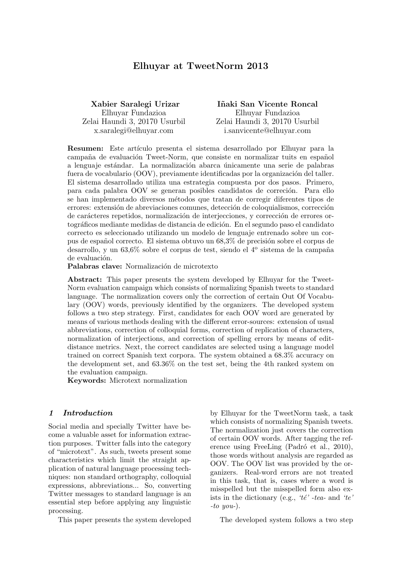# Elhuyar at TweetNorm 2013

Xabier Saralegi Urizar Elhuyar Fundazioa Zelai Haundi 3, 20170 Usurbil x.saralegi@elhuyar.com

I˜naki San Vicente Roncal Elhuyar Fundazioa Zelai Haundi 3, 20170 Usurbil i.sanvicente@elhuyar.com

**Resumen:** Este artículo presenta el sistema desarrollado por Elhuyar para la campaña de evaluación Tweet-Norm, que consiste en normalizar tuits en español a lenguaje estándar. La normalización abarca únicamente una serie de palabras fuera de vocabulario (OOV), previamente identificadas por la organización del taller. El sistema desarrollado utiliza una estrategia compuesta por dos pasos. Primero, para cada palabra OOV se generan posibles candidatos de correción. Para ello se han implementado diversos m´etodos que tratan de corregir diferentes tipos de errores: extensión de abreviaciones comunes, detección de coloquialismos, corrección de carácteres repetidos, normalización de interjecciones, y corrección de errores ortográficos mediante medidas de distancia de edición. En el segundo paso el candidato correcto es seleccionado utilizando un modelo de lenguaje entrenado sobre un corpus de español correcto. El sistema obtuvo un  $68,3\%$  de precisión sobre el corpus de desarrollo, y un 63,6% sobre el corpus de test, siendo el 4<sup>o</sup> sistema de la campaña de evaluación.

Palabras clave: Normalización de microtexto

Abstract: This paper presents the system developed by Elhuyar for the Tweet-Norm evaluation campaign which consists of normalizing Spanish tweets to standard language. The normalization covers only the correction of certain Out Of Vocabulary (OOV) words, previously identified by the organizers. The developed system follows a two step strategy. First, candidates for each OOV word are generated by means of various methods dealing with the different error-sources: extension of usual abbreviations, correction of colloquial forms, correction of replication of characters, normalization of interjections, and correction of spelling errors by means of editdistance metrics. Next, the correct candidates are selected using a language model trained on correct Spanish text corpora. The system obtained a 68.3% accuracy on the development set, and 63.36% on the test set, being the 4th ranked system on the evaluation campaign.

Keywords: Microtext normalization

#### 1 Introduction

Social media and specially Twitter have become a valuable asset for information extraction purposes. Twitter falls into the category of "microtext". As such, tweets present some characteristics which limit the straight application of natural language processing techniques: non standard orthography, colloquial expressions, abbreviations... So, converting Twitter messages to standard language is an essential step before applying any linguistic processing.

This paper presents the system developed

by Elhuyar for the TweetNorm task, a task which consists of normalizing Spanish tweets. The normalization just covers the correction of certain OOV words. After tagging the reference using FreeLing (Padró et al.,  $2010$ ), those words without analysis are regarded as OOV. The OOV list was provided by the organizers. Real-word errors are not treated in this task, that is, cases where a word is misspelled but the misspelled form also exists in the dictionary (e.g., ' $t\acute{e}$ ' -tea- and 'te'  $-to$  you-).

The developed system follows a two step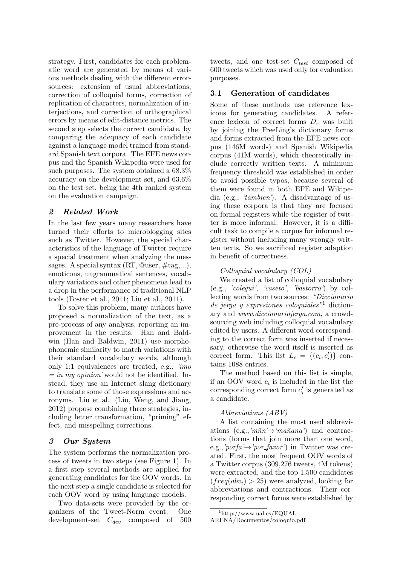strategy. First, candidates for each problematic word are generated by means of various methods dealing with the different errorsources: extension of usual abbreviations, correction of colloquial forms, correction of replication of characters, normalization of interjections, and correction of orthographical errors by means of edit-distance metrics. The second step selects the correct candidate, by comparing the adequacy of each candidate against a language model trained from standard Spanish text corpora. The EFE news corpus and the Spanish Wikipedia were used for such purposes. The system obtained a 68.3% accuracy on the development set, and 63.6% on the test set, being the 4th ranked system on the evaluation campaign.

### 2 Related Work

In the last few years many researchers have turned their efforts to microblogging sites such as Twitter. However, the special characteristics of the language of Twitter require a special treatment when analyzing the messages. A special syntax  $(RT, @user, \#tag,...),$ emoticons, ungrammatical sentences, vocabulary variations and other phenomena lead to a drop in the performance of traditional NLP tools (Foster et al., 2011; Liu et al., 2011).

To solve this problem, many authors have proposed a normalization of the text, as a pre-process of any analysis, reporting an improvement in the results. Han and Baldwin (Han and Baldwin, 2011) use morphophonemic similarity to match variations with their standard vocabulary words, although only 1:1 equivalences are treated, e.g., 'imo  $=$  in my opinion' would not be identified. Instead, they use an Internet slang dictionary to translate some of those expressions and acronyms. Liu et al. (Liu, Weng, and Jiang, 2012) propose combining three strategies, including letter transformation, "priming" effect, and misspelling corrections.

# 3 Our System

The system performs the normalization process of tweets in two steps (see Figure 1). In a first step several methods are applied for generating candidates for the OOV words. In the next step a single candidate is selected for each OOV word by using language models.

Two data-sets were provided by the organizers of the Tweet-Norm event. One development-set  $C_{dev}$  composed of 500

tweets, and one test-set  $C_{test}$  composed of 600 tweets which was used only for evaluation purposes.

# 3.1 Generation of candidates

Some of these methods use reference lexicons for generating candidates. A reference lexicon of correct forms  $D<sub>r</sub>$  was built by joining the FreeLing's dictionary forms and forms extracted from the EFE news corpus (146M words) and Spanish Wikipedia corpus (41M words), which theoretically include correctly written texts. A minimum frequency threshold was established in order to avoid possible typos, because several of them were found in both EFE and Wikipedia (e.g., 'tambien'). A disadvantage of using these corpora is that they are focused on formal registers while the register of twitter is more informal. However, it is a difficult task to compile a corpus for informal register without including many wrongly written texts. So we sacrificed register adaption in benefit of correctness.

### Colloquial vocabulary (COL)

We created a list of colloquial vocabulary (e.g., 'colegui', 'caseto', 'bastorro') by collecting words from two sources: "Diccionario de jerga y expresiones coloquiales"<sup>1</sup> dictionary and www.diccionariojerga.com, a crowdsourcing web including colloquial vocabulary edited by users. A different word corresponding to the correct form was inserted if necessary, otherwise the word itself is inserted as correct form. This list  $L_c = \{(c_i, c'_i)\}\)$  contains 1088 entries.

The method based on this list is simple, if an OOV word  $c_i$  is included in the list the corresponding correct form  $c_i$  is generated as a candidate.

### Abbreviations (ABV)

A list containing the most used abbreviations (e.g.,  $'m\tilde{n}n \rightarrow 'ma\tilde{n}ana'$ ) and contractions (forms that join more than one word, e.g., 'porfa' $\rightarrow$ 'por\_favor') in Twitter was created. First, the most frequent OOV words of a Twitter corpus (309,276 tweets, 4M tokens) were extracted, and the top 1,500 candidates  $(freq(abv<sub>i</sub>) > 25)$  were analyzed, looking for abbreviations and contractions. Their corresponding correct forms were established by

<sup>1</sup>http://www.ual.es/EQUAL-

ARENA/Documentos/coloquio.pdf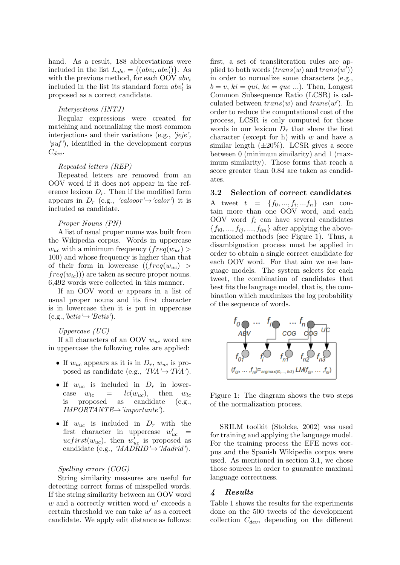hand. As a result, 188 abbreviations were included in the list  $L_{abv} = \{(abv_i, abv'_i)\}\.$  As with the previous method, for each OOV  $abv_i$ included in the list its standard form  $abv_i'$  is proposed as a correct candidate.

#### Interjections (INTJ)

Regular expressions were created for matching and normalizing the most common interjections and their variations (e.g., 'jeje',  $'put'$ ), identified in the development corpus  $C_{dev}.$ 

#### Repeated letters (REP)

Repeated letters are removed from an OOV word if it does not appear in the reference lexicon  $D_r$ . Then if the modified form appears in  $D_r$  (e.g., 'calooor' $\rightarrow$ 'calor') it is included as candidate.

#### Proper Nouns (PN)

A list of usual proper nouns was built from the Wikipedia corpus. Words in uppercase  $w_{uc}$  with a minimum frequency ( $freq(w_{uc}) >$ 100) and whose frequency is higher than that of their form in lowercase  $((freq(w_{uc})) >$  $freq(w_{lc}))$  are taken as secure proper nouns. 6,492 words were collected in this manner.

If an OOV word w appears in a list of usual proper nouns and its first character is in lowercase then it is put in uppercase  $(e.g., 'bets' \rightarrow 'Betis').$ 

#### Uppercase (UC)

If all characters of an OOV  $w_{uc}$  word are in uppercase the following rules are applied:

- If  $w_{uc}$  appears as it is in  $D_r$ ,  $w_{uc}$  is proposed as candidate (e.g.,  $IVA \rightarrow IVA$ ).
- If  $w_{uc}$  is included in  $D_r$  in lowercase  $w_{lc} = lc(w_{uc}),$  then  $w_{lc}$ is proposed as candidate (e.g.,  $IMPORTANTE\rightarrow 'importante'.$
- If  $w_{uc}$  is included in  $D_r$  with the first character in uppercase  $w'_{uc}$  =  $ucfirst(w_{uc})$ , then  $w'_{uc}$  is proposed as candidate (e.g., ' $MADRID' \rightarrow 'Madrid'$ ).

#### Spelling errors (COG)

String similarity measures are useful for detecting correct forms of misspelled words. If the string similarity between an OOV word  $w$  and a correctly written word  $w'$  exceeds a certain threshold we can take  $w'$  as a correct candidate. We apply edit distance as follows:

first, a set of transliteration rules are applied to both words  $(trans(w)$  and  $trans(w')$ in order to normalize some characters (e.g.,  $b = v, ki = qui, ke = que ...).$  Then, Longest Common Subsequence Ratio (LCSR) is calculated between  $trans(w)$  and  $trans(w')$ . In order to reduce the computational cost of the process, LCSR is only computed for those words in our lexicon  $D_r$  that share the first character (except for h) with  $w$  and have a similar length  $(\pm 20\%)$ . LCSR gives a score between 0 (minimum similarity) and 1 (maximum similarity). Those forms that reach a score greater than 0.84 are taken as candidates.

#### 3.2 Selection of correct candidates

A tweet  $t = \{f_0, ..., f_i, ... f_n\}$  can contain more than one OOV word, and each OOV word  $f_i$  can have several candidates  ${f_{i0},...,f_{ij},...,f_{im}}$  after applying the abovementioned methods (see Figure 1). Thus, a disambiguation process must be applied in order to obtain a single correct candidate for each OOV word. For that aim we use language models. The system selects for each tweet, the combination of candidates that best fits the language model, that is, the combination which maximizes the log probability of the sequence of words.



Figure 1: The diagram shows the two steps of the normalization process.

SRILM toolkit (Stolcke, 2002) was used for training and applying the language model. For the training process the EFE news corpus and the Spanish Wikipedia corpus were used. As mentioned in section 3.1, we chose those sources in order to guarantee maximal language correctness.

#### 4 Results

Table 1 shows the results for the experiments done on the 500 tweets of the development collection  $C_{dev}$ , depending on the different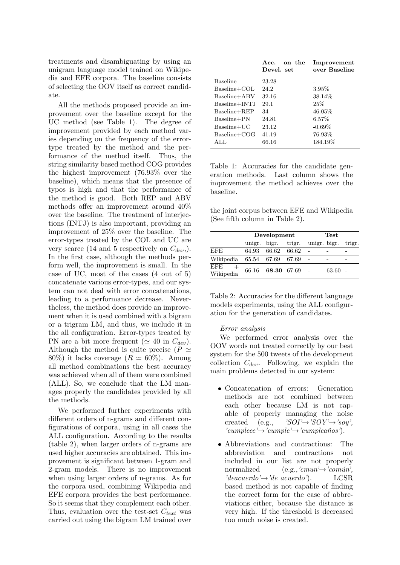treatments and disambiguating by using an unigram language model trained on Wikipedia and EFE corpora. The baseline consists of selecting the OOV itself as correct candidate.

All the methods proposed provide an improvement over the baseline except for the UC method (see Table 1). The degree of improvement provided by each method varies depending on the frequency of the errortype treated by the method and the performance of the method itself. Thus, the string similarity based method COG provides the highest improvement (76.93% over the baseline), which means that the presence of typos is high and that the performance of the method is good. Both REP and ABV methods offer an improvement around 40% over the baseline. The treatment of interjections (INTJ) is also important, providing an improvement of 25% over the baseline. The error-types treated by the COL and UC are very scarce (14 and 5 respectively on  $C_{dev}$ ). In the first case, although the methods perform well, the improvement is small. In the case of UC, most of the cases (4 out of 5) concatenate various error-types, and our system can not deal with error concatenations, leading to a performance decrease. Nevertheless, the method does provide an improvement when it is used combined with a bigram or a trigram LM, and thus, we include it in the all configuration. Error-types treated by PN are a bit more frequent ( $\simeq 40$  in  $C_{dev}$ ). Although the method is quite precise ( $P \simeq$ 80%) it lacks coverage  $(R \simeq 60\%)$ . Among all method combinations the best accuracy was achieved when all of them were combined (ALL). So, we conclude that the LM manages properly the candidates provided by all the methods.

We performed further experiments with different orders of n-grams and different configurations of corpora, using in all cases the ALL configuration. According to the results (table 2), when larger orders of n-grams are used higher accuracies are obtained. This improvement is significant between 1-gram and 2-gram models. There is no improvement when using larger orders of n-grams. As for the corpora used, combining Wikipedia and EFE corpora provides the best performance. So it seems that they complement each other. Thus, evaluation over the test-set  $C_{text}$  was carried out using the bigram LM trained over

|                 | on the<br>Acc.<br>Devel. set | Improvement<br>over Baseline |
|-----------------|------------------------------|------------------------------|
| <b>Baseline</b> | 23.28                        |                              |
| $Baseline+COL$  | 24.2                         | $3.95\%$                     |
| Baseline+ABV    | 32.16                        | 38.14%                       |
| Baseline+INTJ   | 29.1                         | 25\%                         |
| $Baseline+REP$  | 34                           | 46.05%                       |
| Baseline+PN     | 24.81                        | $6.57\%$                     |
| Baseline+UC     | 23.12                        | $-0.69\%$                    |
| $Baseline+COG$  | 41.19                        | 76.93%                       |
| ATJ.            | 66.16                        | 184.19%                      |

Table 1: Accuracies for the candidate generation methods. Last column shows the improvement the method achieves over the baseline.

the joint corpus between EFE and Wikipedia (See fifth column in Table 2).

|                  | Development |                     |       | Test         |       |        |
|------------------|-------------|---------------------|-------|--------------|-------|--------|
|                  |             | unigr. bigr. trigr. |       | unigr. bigr. |       | trigr. |
| <b>EFE</b>       | 64.93       | 66.62               | 66.62 |              |       |        |
| Wikipedia        |             | 65.54 67.69 67.69   |       |              |       |        |
| EFE<br>Wikipedia |             | 66.16 68.30 67.69   |       |              | 63.60 |        |

Table 2: Accuracies for the different language models experiments, using the ALL configuration for the generation of candidates.

#### Error analysis

We performed error analysis over the OOV words not treated correctly by our best system for the 500 tweets of the development collection  $C_{dev}$ . Following, we explain the main problems detected in our system:

- Concatenation of errors: Generation methods are not combined between each other because LM is not capable of properly managing the noise created (e.g.,  $'SOI' \rightarrow 'SOY' \rightarrow 'soy'.$  $'cumpleee' \rightarrow 'cumple' \rightarrow 'cumplea\tilde{n}os'.$
- Abbreviations and contractions: The abbreviation and contractions not included in our list are not properly normalized  $(e.g., 'cmun' \rightarrow 'comun',')$  $\text{'deacuerdo'} \rightarrow \text{'deacuerdo'}$ . LCSR based method is not capable of finding the correct form for the case of abbreviations either, because the distance is very high. If the threshold is decreased too much noise is created.